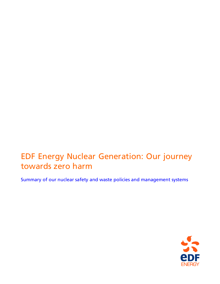# EDF Energy Nuclear Generation: Our journey towards zero harm

Summary of our nuclear safety and waste policies and management systems

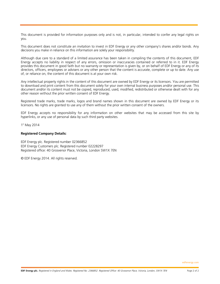This document is provided for information purposes only and is not, in particular, intended to confer any legal rights on you.

This document does not constitute an invitation to invest in EDF Energy or any other company's shares and/or bonds. Any decisions you make in reliance on this information are solely your responsibility.

Although due care to a standard of a limited assurance has been taken in compiling the contents of this document, EDF Energy accepts no liability in respect of any errors, omission or inaccuracies contained or referred to in it. EDF Energy provides this document in good faith but no warranty or representation is given by, or on behalf of EDF Energy or any of its directors, officers, employees or advisers or any other person that the content is accurate, complete or up to date. Any use of, or reliance on, the content of this document is at your own risk.

Any intellectual property rights in the content of this document are owned by EDF Energy or its licensors. You are permitted to download and print content from this document solely for your own internal business purposes and/or personal use. This document and/or its content must not be copied, reproduced, used, modified, redistributed or otherwise dealt with for any other reason without the prior written consent of EDF Energy.

Registered trade marks, trade marks, logos and brand names shown in this document are owned by EDF Energy or its licensors. No rights are granted to use any of them without the prior written consent of the owners.

EDF Energy accepts no responsibility for any information on other websites that may be accessed from this site by hyperlinks, or any use of personal data by such third party websites.

1 st May 2014

#### **Registered Company Details:**

EDF Energy plc. Registered number 02366852 EDF Energy Customers plc. Registered number 02228297 Registered office: 40 Grosvenor Place, Victoria, London SW1X 7EN

© EDF Energy 2014. All rights reserved.

edfenergy.com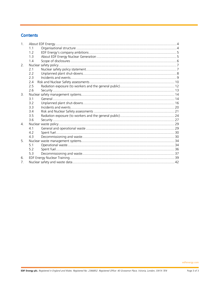# **Contents**

| 1. |     |  |  |
|----|-----|--|--|
|    | 1.1 |  |  |
|    | 12  |  |  |
|    | 1.3 |  |  |
|    | 1.4 |  |  |
| 2. |     |  |  |
|    | 2.1 |  |  |
|    | 2.2 |  |  |
|    | 2.3 |  |  |
|    | 2.4 |  |  |
|    | 2.5 |  |  |
|    | 2.6 |  |  |
| 3. |     |  |  |
|    | 3.1 |  |  |
|    | 32  |  |  |
|    | 33  |  |  |
|    | 3.4 |  |  |
|    | 3.5 |  |  |
|    | 3.6 |  |  |
| 4. |     |  |  |
|    | 41  |  |  |
|    | 4.2 |  |  |
|    | 4.3 |  |  |
| 5. |     |  |  |
|    | 51  |  |  |
|    | 5.2 |  |  |
|    | 5.3 |  |  |
| 6. |     |  |  |
| 7. |     |  |  |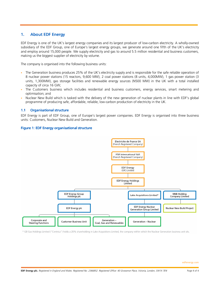# 1. About EDF Energy

EDF Energy is one of the UK's largest energy companies and its largest producer of low-carbon electricity. A wholly-owned subsidiary of the EDF Group, one of Europe's largest energy groups, we generate around one fifth of the UK's electricity and employ around 15,000 people. We supply electricity and gas to around 5.5 million residential and business customers, making us the biggest supplier of electricity by volume.

The company is organised into the following business units:

- The Generation business produces 25% of the UK's electricity supply and is responsible for the safe reliable operation of 8 nuclear power stations (15 reactors, 9,600 MW), 2 coal power stations (8 units, 4,000MW), 1 gas power station (3 units, 1,300MW), gas storage facilities and renewable energy sources (N500 MW) in the UK with a total installed capacity of circa 16 GW;
- The Customers business which includes residential and business customers, energy services, smart metering and optimisation; and
- Nuclear New Build which is tasked with the delivery of the new generation of nuclear plants in line with EDF's global programme of producing safe, affordable, reliable, low-carbon production of electricity in the UK.

# 1.1 Organisational structure

EDF Energy is part of EDF Group, one of Europe's largest power companies. EDF Energy is organised into three business units: Customers, Nuclear New Build and Generation.

# Figure 1: EDF Energy organisational structure



\* GB Gas Holdings Limited ("Centrica") holds a 20% shareholding in Lake Acquisitions Limited, the company within which the Nuclear Generation business unit sits.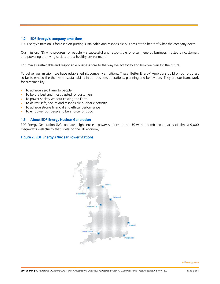# 1.2 EDF Energy's company ambitions

EDF Energy's mission is focussed on putting sustainable and responsible business at the heart of what the company does:

Our mission: "Driving progress for people – a successful and responsible long-term energy business, trusted by customers and powering a thriving society and a healthy environment"

This makes sustainable and responsible business core to the way we act today and how we plan for the future.

To deliver our mission, we have established six company ambitions. These 'Better Energy' Ambitions build on our progress so far to embed the themes of sustainability in our business operations, planning and behaviours. They are our framework for sustainability:

- To achieve Zero Harm to people
- To be the best and most trusted for customers
- To power society without costing the Earth
- To deliver safe, secure and responsible nuclear electricity
- To achieve strong financial and ethical performance
- To empower our people to be a force for good

#### 1.3 About EDF Energy Nuclear Generation

EDF Energy Generation (NG) operates eight nuclear power stations in the UK with a combined capacity of almost 9,000 megawatts – electricity that is vital to the UK economy.

#### Figure 2: EDF Energy's Nuclear Power Stations



edfenergy.com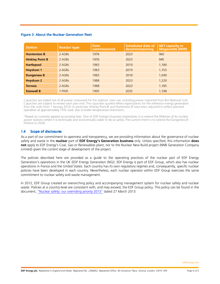# Figure 3: About the Nuclear Generation fleet

| <b>Station</b>         | <b>Reactor type</b> | <b>Date</b><br>commissioned | <b>Scheduled date of</b><br>decommissioning | <b>NET capacity in</b><br><b>Megawatts (MW)</b> |
|------------------------|---------------------|-----------------------------|---------------------------------------------|-------------------------------------------------|
| <b>Hunterston B</b>    | 2 AGRS              | 1976                        | 2023                                        | 960                                             |
| <b>Hinkley Point B</b> | 2 AGRS              | 1976                        | 2023                                        | 945                                             |
| <b>Hartlepool</b>      | 2 AGRS              | 1983                        | 2019                                        | 1.180                                           |
| <b>Heysham 1</b>       | 2 AGRs              | 1983                        | 2019                                        | 1,155                                           |
| <b>Dungeness B</b>     | 2 AGRS              | 1983                        | 2018                                        | 1,040                                           |
| <b>Heysham 2</b>       | 2 AGRS              | 1988                        | 2023                                        | 1,220                                           |
| <b>Torness</b>         | 2 AGRS              | 1988                        | 2023                                        | 1.185                                           |
| <b>Sizewell B</b>      | 1 PWR               | 1995                        | 2035                                        | 1,198                                           |

Capacities are stated net of all power consumed for the stations' own use, including power imported from the National Grid. Capacities are subject to review each year end. The capacities quoted reflect expectations for the reference energy generation from the units from 1 January 2014. In particular, Hinkley Point B and Hunterston B have been adjusted to reflect planned operation at approximately 75% load, due to boiler temperature restrictions.

\*Based on currently agreed accounting lives. One of EDF Energy's business imperatives is to extend the lifetimes of its nuclear power stations where it is technically and economically viable to do so safely. The current intent is to extend the Dungeness B lifetime to 2028.

# 1.4 Scope of disclosures

As a part of our commitment to openness and transparency, we are providing information about the governance of nuclear safety and waste in the **nuclear** part of **EDF Energy's Generation business** only. Unless specified, this information **does not** apply to EDF Energy's Coal, Gas or Renewables plant, nor to the Nuclear New Build project (NNB Generation Company Limited) given the current stage of development of the project.

The policies described here are provided as a guide to the operating practices of the nuclear part of EDF Energy Generation's operations in the UK (EDF Energy Generation (NG)). EDF Energy is part of EDF Group, which also has nuclear operations in France and the United States. Each country has its own regulatory regimes and, consequently, specific nuclear policies have been developed in each country. Nevertheless, each nuclear operator within EDF Group exercises the same commitment to nuclear safety and waste management.

In 2012, EDF Group created an overarching policy and accompanying management system for nuclear safety and nuclear waste. Policies at a country-level are consistent with, and may exceed, the EDF Group policy. This policy can be found in the document, "Nuclear safety: our overriding priority 2013" dated 27 March 2013.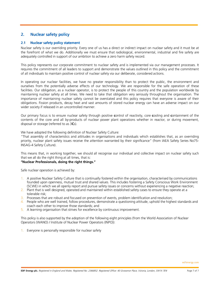# 2. Nuclear safety policy

# 2.1 Nuclear safety policy statement

Nuclear safety is our overriding priority. Every one of us has a direct or indirect impact on nuclear safety and it must be at the forefront of what we do. Additionally we must ensure that radiological, environmental, industrial and fire safety are adequately controlled in support of our ambition to achieve a zero harm safety record.

This policy represents our corporate commitment to nuclear safety and is implemented via our management processes. It requires the commitment of all leaders to support and demonstrate the values outlined in this policy and the commitment of all individuals to maintain positive control of nuclear safety via our deliberate, considered actions.

In operating our nuclear facilities, we have no greater responsibility than to protect the public, the environment and ourselves from the potentially adverse effects of our technology. We are responsible for the safe operation of these facilities. Our obligation, as a nuclear operator, is to protect the people of this country and the population worldwide by maintaining nuclear safety at all times. We need to take that obligation very seriously throughout the organisation. The importance of maintaining nuclear safety cannot be overstated and this policy requires that everyone is aware of their obligations. Fission products, decay heat and vast amounts of stored nuclear energy can have an adverse impact on our wider society if released in an uncontrolled manner.

Our primary focus is to ensure nuclear safety through positive **c**ontrol of reactivity, core **c**ooling and **c**ontainment of the contents of the core and all by-products of nuclear power plant operations whether in reactor, or during movement, disposal or storage (referred to as 3**C**s).

We have adopted the following definition of Nuclear Safety Culture:

"That assembly of characteristics and attitudes in organisations and individuals which establishes that, as an overriding priority, nuclear plant safety issues receive the attention warranted by their significance" (from IAEA Safety Series No75- INSAG-4 Safety Culture).

This means that, in working together, we should all recognise our individual and collective impact on nuclear safety such that we all do the right thing at all times, that is:

# **"Nuclear Professionals, doing the right things."**

Safe nuclear operation is achieved by:

- 1. A positive Nuclear Safety Culture that is continually fostered within the organisation, characterised by communications founded upon openness, mutual trust and shared values. This includes fostering a Safety Conscious Work Environment (SCWE) in which we all openly report and pursue safety issues or concerns without experiencing a negative reaction;
- 2. Plant that is well designed, operated and maintained within established safety cases to ensure they operate at a tolerable risk;
- 3. Processes that are robust and focused on prevention of events, problem identification and resolution;
- 4. People who are well trained, follow procedures, demonstrate a questioning attitude, uphold the highest standards and coach each other to improve those standards; and
- 5. A learning organisation that strives for excellence by continuous improvement.

This policy is also supported by the adoption of the following eight principles (from the World Association of Nuclear Operators (WANO) / Institute of Nuclear Power Operators (INPO)):

1. Everyone is personally responsible for nuclear safety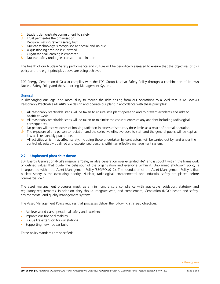- 2. Leaders demonstrate commitment to safety
- 3. Trust permeates the organisation
- 4. Decision making reflects safety first
- 5. Nuclear technology is recognised as special and unique
- 6. A questioning attitude is cultivated
- 7. Organisational learning is embraced
- 8. Nuclear safety undergoes constant examination

The health of our Nuclear Safety performance and culture will be periodically assessed to ensure that the objectives of this policy and the eight principles above are being achieved.

EDF Energy Generation (NG) also complies with the EDF Group Nuclear Safety Policy through a combination of its own Nuclear Safety Policy and the supporting Management System.

# General

In discharging our legal and moral duty to reduce the risks arising from our operations to a level that is As Low As Reasonably Practicable (ALARP), we design and operate our plant in accordance with these principles:

- a) All reasonably practicable steps will be taken to ensure safe plant operation and to prevent accidents and risks to health at work.
- b) All reasonably practicable steps will be taken to minimise the consequences of any accident including radiological consequences.
- c) No person will receive doses of ionising radiation in excess of statutory dose limits as a result of normal operation.
- d) The exposure of any person to radiation and the collective effective dose to staff and the general public will be kept as low as is reasonably practicable.
- e) All activities which may affect safety, including those undertaken by contractors, will be carried out by, and under the control of, suitably qualified and experienced persons within an effective management system.

# 2.2 Unplanned plant shut-downs

EDF Energy Generation (NG)'s mission is "Safe, reliable generation over extended life" and is sought within the framework of defined values that guide the behaviour of the organisation and everyone within it. Unplanned shutdown policy is incorporated within the Asset Management Policy (BEG/POL/012). The foundation of the Asset Management Policy is that nuclear safety is the overriding priority. Nuclear, radiological, environmental and industrial safety are placed before commercial gain.

The asset management processes must, as a minimum, ensure compliance with applicable legislation, statutory and regulatory requirements. In addition, they should integrate with, and complement, Generation (NG)'s health and safety, environmental and quality management systems.

The Asset Management Policy requires that processes deliver the following strategic objectives:

- Achieve world class operational safety and excellence
- Improve our financial stability
- Pursue life extension for our stations
- Supporting new nuclear build

Three policy standards are specified: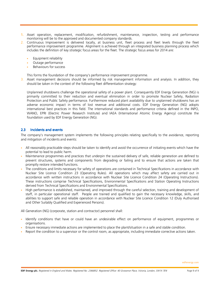- 1. Asset operation, replacement, modification, refurbishment, maintenance, inspection, testing and performance monitoring will be to the approved and documented company standards.
- 2. Continuous Improvement is delivered locally, at business unit, fleet process and fleet levels through the fleet performance improvement programme. Alignment is achieved through an integrated business planning process which includes the definition of key strategic focus areas for the fleet. The strategic focus areas for 2014 are:
	- Equipment reliability
	- Outage performance
	- Behaviours for success

This forms the foundation of the company's performance improvement programme.

3. Asset management decisions should be informed by risk management information and analysis. In addition, they should be taken in the context of the following fleet differentiation strategy:

Unplanned shutdowns challenge the operational safety of a power plant. Consequently EDF Energy Generation (NG) is primarily committed to their reduction and eventual elimination in order to promote Nuclear Safety, Radiation Protection and Public Safety performance. Furthermore reduced plant availability due to unplanned shutdowns has an adverse economic impact in terms of lost revenue and additional costs. EDF Energy Generation (NG) adopts international best practices in this field. The international standards and performance criteria defined in the INPO, WANO, EPRI (Electric Power Research Institute) and IAEA (International Atomic Energy Agency) constitute the foundation used by EDF Energy Generation (NG).

# 2.3 Incidents and events

The company's management system implements the following principles relating specifically to the avoidance, reporting and mitigation of incidents and events:

- All reasonably practicable steps should be taken to identify and avoid the occurrence of initiating events which have the potential to lead to public harm.
- Maintenance programmes and practices that underpin the sustained delivery of safe, reliable generation are defined to prevent structures, systems and components from degrading or failing and to ensure that actions are taken that promptly restore intended functions.
- The conditions and limits necessary for safety of operations are contained in Technical Specifications in accordance with Nuclear Site Licence Condition 23 (Operating Rules). All operations which may affect safety are carried out in accordance with written instructions in accordance with Nuclear Site Licence Condition 24 (Operating Instructions). These instructions comprise Technical Specifications, Environmental Specifications and Station Operating Instructions derived from Technical Specifications and Environmental Specifications.
- High performance is established, maintained, and improved through the careful selection, training and development of staff, in particular operational staff. People are trained and qualified to gain the necessary knowledge, skills, and abilities to support safe and reliable operation in accordance with Nuclear Site Licence Condition 12 (Duly Authorised and Other Suitably Qualified and Experienced Persons).

All Generation (NG) (corporate, station and contractor) personnel shall:

- Identify conditions that have or could have an undesirable effect on performance of equipment, programmes or organisations.
- Ensure necessary immediate actions are implemented to place the plant/situation in a safe and stable condition.
- Report the condition to a supervisor or the control room, as appropriate, including immediate corrective actions taken.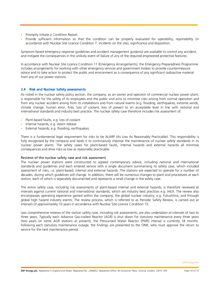- Promptly initiate a Condition Report.
- Provide sufficient information so that the condition can be properly evaluated for operability, reportability (in accordance with Nuclear Site Licence Condition 7, incidents on the site), significance and disposition.

Symptom based emergency response guidelines and accident management guidance are available to control any accident, and mitigate the consequences in the unlikely event of failure of any of the required engineered protective features.

In accordance with Nuclear Site Licence Condition 11 (Emergency Arrangements), the Emergency Preparedness Programme includes arrangements for working with other emergency services and government bodies to provide countermeasure advice and to take action to protect the public and environment as a consequence of any significant radioactive material from any of our power stations.

# 2.4 Risk and Nuclear Safety assessments

As noted in the nuclear safety policy section, the company, as an owner and operator of commercial nuclear power plant, is responsible for the safety of its employees and the public and aims to minimise risks arising from normal operation and from any nuclear accident arising from its installations and from natural events (e.g. flooding, earthquakes, extreme winds, climate change, human error, fires, loss of coolant, loss of power) to an acceptable level in line with national and international standards and industry best practice. The nuclear safety case therefore includes risk assessment of:

- Plant-based faults, e.g. loss of coolant
- Internal hazards, e.g. steam release
- External hazards, e.g. flooding, earthquakes.

There is a fundamental legal requirement for risks to be ALARP (As Low As Reasonably Practicable). This responsibility is fully recognised by the company and leads it to continuously improve the maintenance of nuclear safety standards in its nuclear power plants. The safety cases for plant-based faults, internal hazards and external hazards all minimise consequences and drive risks as low as reasonably practicable.

# Reviews of the nuclear safety case and risk assessment

The nuclear power stations were constructed to agreed contemporary advice, including national and international standards and guidelines and each entered service with a single document summarising its safety case, which included assessment of risks, i.e. plant-based, internal and external hazards. The stations are expected to operate for a number of decades, during which guidelines will change. In addition, there will be numerous changes to plant and procedures at each station, each of which is separately documented and represents a small change in the safety case.

The entire safety case, including risk assessments of plant-based internal and external hazards, is therefore reviewed at intervals against current national and international standards, which set industry best practices e.g. IAEA. The review also encompasses operating experience gained within the company, the global nuclear industry, e.g. Fukushima, and through global high hazard industry events. The review process, which is referred to as Periodic Safety Review, is carried out at intervals of approximately 10 years in accordance with Nuclear Site Licence Condition 15.

Less comprehensive reviews of the station safety case, including risk assessments, are also undertaken at intervals of two to three years. Typically each Advance Gas-cooled Reactor (AGR) is shut down for statutory maintenance every three years (two years on some AGR stations at present); the Pressurised Water Reactor (PWR) interval is currently 18 months. Following each statutory maintenance outage, the findings are presented to the ONR, who must approve the return to service for the next maintenance period.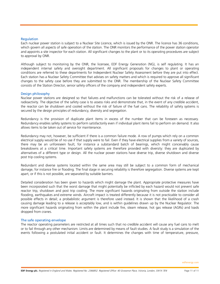#### **Requlation**

Each nuclear power station is subject to a Nuclear Site Licence, which is issued by the ONR. The licence has 36 conditions, which govern all aspects of safe operation of the station. The ONR monitors the performance of the power station operator and appoints a site inspector for each station. All significant changes to the plant or to its operating procedures are subject to approval by ONR.

Although subject to monitoring by the ONR, the licensee, EDF Energy Generation (NG), is self regulating. It has an independent internal safety and oversight department. All significant proposals for changes to plant or operating conditions are referred to these departments for Independent Nuclear Safety Assessment before they are put into effect. Each station has a Nuclear Safety Committee that advises on safety matters and which is required to approve all significant changes to the safety case before they are submitted to the ONR. The membership of the Nuclear Safety Committee consists of the Station Director, senior safety officers of the company and independent safety experts.

#### Design philosophy

Nuclear power stations are designed so that failures and malfunctions can be tolerated without the risk of a release of radioactivity. The objective of the safety case is to assess risks and demonstrate that, in the event of any credible accident, the reactor can be shutdown and cooled without the risk of failure of the fuel cans. The reliability of safety systems is secured by the design principles of redundancy, diversity and segregation.

Redundancy is the provision of duplicate plant items in excess of the number that can be foreseen as necessary. Redundancy enables safety systems to perform satisfactorily even if individual plant items fail to perform on demand. It also allows items to be taken out of service for maintenance.

Redundancy may not, however, be sufficient if there is a common failure mode. A row of pumps which rely on a common electrical supply would be of no use if that supply were to fail. Even if they have electrical supplies from a variety of sources, there may be an unforeseen fault, for instance a substandard batch of bearings, which might conceivably cause breakdowns at a critical time. Important safety systems are therefore provided with diversity: they are duplicated by alternatives of a different type or design. All the nuclear power stations have diverse trip, diverse shutdown and diverse post trip cooling systems.

Redundant and diverse systems located within the same area may still be subject to a common form of mechanical damage, for instance fire or flooding. The final stage in securing reliability is therefore segregation. Diverse systems are kept apart, or if this is not possible, are separated by suitable barriers.

Detailed consideration has been given to hazards which might damage the plant. Appropriate protective measures have been incorporated such that the worst damage that might potentially be inflicted by each hazard would not prevent safe reactor trip, shutdown and post trip cooling. The more significant hazards originating from outside the station include flooding, earthquakes and extreme winds. Aircraft impact is treated differently because it is not practicable to consider all possible effects in detail; a probabilistic argument is therefore used instead. It is shown that the likelihood of a crash causing damage leading to a release is acceptably low, and is within guidelines drawn up by the Nuclear Regulator. The more significant hazards originating from within the plant include fire, steam release, hot gas release (AGRs) and loads dropped from cranes.

#### The safe operating envelope

The reactor operating parameters are restricted at all times such that no credible accident will cause any fuel cans to melt or to fail through any other mechanism. Limits are determined by means of fault studies. A fault study is a simulation of the events following a postulated initial accident or fault. It determines the changes with time of temperature, pressure,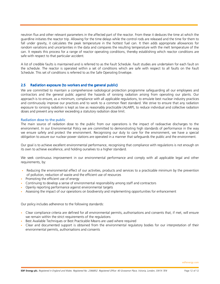neutron flux and other relevant parameters in the affected part of the reactor. From these it deduces the time at which the guardline initiates the reactor trip. Allowing for the time delays while the control rods are released and the time for them to fall under gravity, it calculates the peak temperature in the hottest fuel can. It then adds appropriate allowances for random variations and uncertainties in the data and compares the resulting temperature with the melt temperature of the can. It repeats this process for a range of reactor operating conditions, thereby establishing which reactor conditions are safe with respect to that particular accident.

A list of credible faults is maintained and is referred to as the Fault Schedule. Fault studies are undertaken for each fault on the schedule. The reactor is operated within a set of conditions which are safe with respect to all faults on the Fault Schedule. This set of conditions is referred to as the Safe Operating Envelope.

# 2.5 Radiation exposure (to workers and the general public)

We are committed to maintain a comprehensive radiological protection programme safeguarding all our employees and contractors and the general public against the hazards of ionising radiation arising from operating our plants. Our approach is to ensure, as a minimum, compliance with all applicable regulations, to emulate best nuclear industry practices and continuously improve our practices and to work to a common fleet standard. We strive to ensure that any radiation exposure to ionising radiation is kept as low as reasonably practicable (ALARP), to reduce individual and collective radiation doses and prevent any worker exceeding a statutory radiation dose limit.

#### Radiation dose to the public

The main source of radiation dose to the public from our operations is the impact of radioactive discharges to the environment. In our Environmental Policy we are committed to demonstrating high standards of performance in the way we ensure safety and protect the environment. Recognising our duty to care for the environment, we have a special obligation to assure our nuclear power stations are operated in a manner that safeguards the public and the environment.

Our goal is to achieve excellent environmental performance, recognising that compliance with regulations is not enough on its own to achieve excellence, and holding ourselves to a higher standard.

We seek continuous improvement in our environmental performance and comply with all applicable legal and other requirements, by:

- Reducing the environmental effect of our activities, products and services to a practicable minimum by the prevention of pollution, reduction of waste and the efficient use of resources
- Promoting the efficient use of energy
- Continuing to develop a sense of environmental responsibility among staff and contractors
- Openly reporting performance against environmental targets
- Assessing the impact of our operations on biodiversity and implementing opportunities for enhancement

Our policy includes adherence to the following standards:

- Clear compliance criteria are defined for all environmental permits, authorisations and consents that, if met, will ensure we remain within the strict requirements of the regulations
- Best Available Techniques or Best Practicable Means are used where required
- Clear and documented support is obtained from the environmental regulatory bodies for our interpretation of their environmental permits, authorisations and consents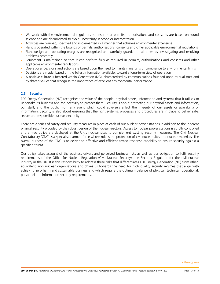- We work with the environmental regulators to ensure our permits, authorisations and consents are based on sound science and are documented to avoid uncertainty in scope or interpretation
- Activities are planned, specified and implemented in a manner that achieves environmental excellence
- Plant is operated within the bounds of permits, authorisations, consents and other applicable environmental regulations
- Plant design and operating margins are recognised and carefully guarded at all times by investigating and resolving problems promptly
- Equipment is maintained so that it can perform fully as required in permits, authorisations and consents and other applicable environmental regulations
- Operational decisions and actions are based upon the need to maintain margins of compliance to environmental limits
- Decisions are made, based on the fullest information available, toward a long-term view of operation
- A positive culture is fostered within Generation (NG), characterised by communications founded upon mutual trust and by shared values that recognise the importance of excellent environmental performance

# 2.6 Security

EDF Energy Generation (NG) recognises the value of the people, physical assets, information and systems that it utilises to undertake its business and the necessity to protect them. Security is about protecting our physical assets and information, our staff, and the public from any event which could adversely affect the integrity of our assets or availability of information. Security is also about ensuring that the right systems, processes and procedures are in place to deliver safe, secure and responsible nuclear electricity.

There are a series of safety and security measures in place at each of our nuclear power stations in addition to the inherent physical security provided by the robust design of the nuclear reactors. Access to nuclear power stations is strictly controlled and armed police are deployed at the UK's nuclear sites to complement existing security measures. The Civil Nuclear Constabulary (CNC) is a specialised armed force whose role is the protection of civil nuclear sites and nuclear materials. The overall purpose of the CNC is to deliver an effective and efficient armed response capability to ensure security against a specified threat.

Our policy takes account of the business drivers and perceived business risks as well as our obligation to fulfil security requirements of the Office for Nuclear Regulation (Civil Nuclear Security), the Security Regulator for the civil nuclear industry in the UK. It is this responsibility to address these risks that differentiates EDF Energy Generation (NG) from other, equivalent, non nuclear organisations and drives us towards the need for high quality security regimes that align with achieving zero harm and sustainable business and which require the optimum balance of physical, technical, operational, personnel and information security requirements.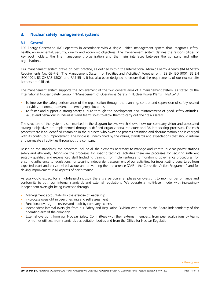# 3. Nuclear safety management systems

# 3.1 General

EDF Energy Generation (NG) operates in accordance with a single unified management system that integrates safety, health, environmental, security, quality and economic objectives. The management system defines the responsibilities of key post holders, the line management organisation and the main interfaces between the company and other organisations.

Our management system draws on best practice, as defined within the International Atomic Energy Agency (IAEA) Safety Requirements No. GS-R-3, 'The Management System for Facilities and Activities', together with BS EN ISO 9001, BS EN ISO14001, BS OHSAS 18001 and PAS 55-1. It has also been designed to ensure that the requirements of our nuclear site licences are fulfilled.

The management system supports the achievement of the two general aims of a management system, as stated by the International Nuclear Safety Group in 'Management of Operational Safety in Nuclear Power Plants', INSAG-13:

- To improve the safety performance of the organisation through the planning, control and supervision of safety related activities in normal, transient and emergency situations;
- To foster and support a strong safety culture through the development and reinforcement of good safety attitudes, values and behaviour in individuals and teams so as to allow them to carry out their tasks safely.

The structure of the system is summarised in the diagram below, which shows how our company vision and associated strategic objectives are implemented through a defined organisational structure and 36 interlocking processes. For each process there is an identified champion in the business who owns the process definition and documentation and is charged with its continuous improvement. The whole is underpinned by the values, standards and expectations that should inform and permeate all activities throughout the company.

Based on the standards, the processes include all the elements necessary to manage and control nuclear power stations safely and efficiently. Alongside the processes for specific technical activities there are processes for securing sufficient suitably qualified and experienced staff (including training), for implementing and monitoring governance procedures, for ensuring adherence to regulations, for securing independent assessment of our activities, for investigating departures from expected plant and personnel behaviour and preventing their recurrence (CAP – the Corrective Action Programme) and for driving improvement in all aspects of performance.

As you would expect for a high-hazard industry there is a particular emphasis on oversight to monitor performance and conformity to both our internal standards and external regulations. We operate a multi-layer model with increasingly independent oversight being exercised through:

- Management accountability the exercise of leadership
- In-process oversight in peer checking and self assessment
- Functional oversight  $-$  review and audit by company experts
- Independent internal oversight from our Safety and Regulation Division who report to the Board independently of the operating arm of the company
- External oversight from our Nuclear Safety Committees with their external members, from peer evaluations by teams from other utilities, from standards accreditation bodies and from the Office for Nuclear Regulation

edfenergy.com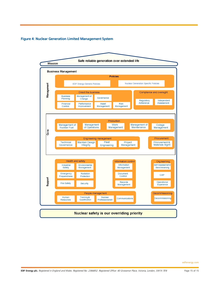#### Figure 4: Nuclear Generation Limited Management System

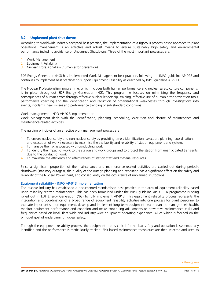# 3.2 Unplanned plant shut-downs

According to worldwide industry accepted best practice, the implementation of a rigorous process-based approach to plant operational management is an effective and robust means to ensure sustainably high safety and environmental performance including avoidance of Unplanned Shutdowns. Three of the most important processes are:

- 1. Work Management
- 2. Equipment Reliability
- 3. Nuclear Professionalism (human error prevention)

EDF Energy Generation (NG) has implemented Work Management best practices following the INPO guideline AP-928 and continues to implement best practices to support Equipment Reliability as described by INPO guideline AP-913.

The Nuclear Professionalism programme, which includes both human performance and nuclear safety culture components, is in place throughout EDF Energy Generation (NG). This programme focuses on minimising the frequency and consequences of human errors through effective nuclear leadership, training, effective use of human error prevention tools, performance coaching and the identification and reduction of organisational weaknesses through investigations into events, incidents, near misses and performance trending of sub standard conditions.

# Work management - INPO AP-928 Implementation

Work Management deals with the identification, planning, scheduling, execution and closure of maintenance and maintenance-related activities.

The guiding principles of an effective work management process are:

- 1. To ensure nuclear safety and non-nuclear safety by providing timely identification, selection, planning, coordination, and execution of work necessary to maximise the availability and reliability of station equipment and systems
- 2. To manage the risk associated with conducting work
- 3. To identify the impact of work to the station and work groups and to protect the station from unanticipated transients due to the conduct of work
- 4. To maximise the efficiency and effectiveness of station staff and material resources

Since a significant proportion of the maintenance and maintenance-related activities are carried out during periodic shutdowns (statutory outages), the quality of the outage planning and execution has a significant effect on the safety and reliability of the Nuclear Power Plant, and consequently on the occurrence of unplanned shutdowns.

# Equipment reliability - INPO AP-913 Implementation

The nuclear industry has established a documented standardised best practice in the area of equipment reliability based upon reliability-centred maintenance. This has been formalised under the INPO guideline AP-913. A programme is being rolled out in EDF Energy Generation (NG) to fully implement AP-913. This equipment reliability process represents the integration and coordination of a broad range of equipment reliability activities into one process for plant personnel to evaluate important station equipment, develop and implement long-term equipment health plans to manage their health, monitor equipment performance and condition and make continuing adjustments to preventive maintenance tasks and frequencies based on local, fleet-wide and industry-wide equipment operating experience. All of which is focused on the principal goal of underpinning nuclear safety.

Through the equipment reliability process, the equipment that is critical for nuclear safety and operation is systematically identified and the performance is meticulously tracked. Risk based maintenance techniques are then selected and used to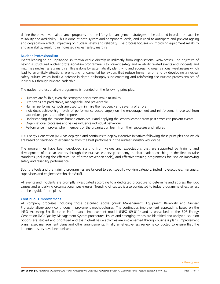define the preventive maintenance programs and the life cycle management strategies to be adopted in order to maximise reliability and availability. This is done at both system and component levels, and is used to anticipate and prevent ageing and degradation effects impacting on nuclear safety and reliability. The process focuses on improving equipment reliability and availability, resulting in increased nuclear safety margins.

#### Nuclear Professionalism

Events leading to an unplanned shutdown derive directly or indirectly from organisational weaknesses. The objective of having a structured nuclear professionalism programme is to prevent safety and reliability related events and incidents and maximise nuclear safety margins. This is done by systematically identifying and addressing organisational weaknesses which lead to error-likely situations, promoting fundamental behaviours that reduce human error, and by developing a nuclear safety culture which instils a defence-in-depth philosophy supplementing and reinforcing the nuclear professionalism of individuals through nuclear leadership.

The nuclear professionalism programme is founded on the following principles:

- Humans are fallible, even the strongest performers make mistakes
- Error-traps are predictable, manageable, and preventable
- Human performance tools are used to minimise the frequency and severity of errors
- Individuals achieve high levels of performance based largely on the encouragement and reinforcement received from supervisors, peers and direct reports
- Understanding the reasons human errors occur and applying the lessons learned from past errors can prevent events
- Organisational processes and values influence individual behaviour
- Performance improves when members of the organisation learn from their successes and failures

EDF Energy Generation (NG) has deployed and continues to deploy extensive initiatives following these principles and which are based on feedback of experience from the best performers in the nuclear industry worldwide.

The programmes have been developed starting from values and expectations that are supported by training and development of nuclear leaders through the nuclear leadership academy, nuclear leaders coaching in the field to raise standards (including the effective use of error prevention tools), and effective training programmes focused on improving safety and reliability performance.

Both the tools and the training programmes are tailored to each specific working category, including executives, managers, supervisors and engineers/technicians/staff.

All events and incidents are promptly investigated according to a dedicated procedure to determine and address the root causes and underlying organisational weaknesses. Trending of causes is also conducted to judge programme effectiveness and help guide future plans.

#### Continuous Improvement

All company processes including those described above (Work Management, Equipment Reliability and Nuclear Professionalism) apply continuous improvement methodologies. The continuous improvement approach is based on the INPO Achieving Excellence in Performance Improvement model (INPO 09-011) and is prescribed in the EDF Energy Generation (NG) Quality Management System procedures. Issues and emerging trends are identified and analysed, solution options are studied and prioritised and the highest value activities are implemented through business plans, improvement plans, asset management plans and other arrangements. Finally an effectiveness review is conducted to ensure that the intended results have been delivered.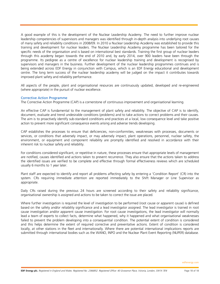A good example of this is the development of the Nuclear Leadership Academy. The need to further improve nuclear leadership competencies of supervisors and managers was identified through in-depth analysis into underlying root causes of many safety and reliability conditions in 2008/09. In 2010 a Nuclear Leadership Academy was established to provide this training and development for nuclear leaders. The Nuclear Leadership Academy programme has been tailored for the specific needs of the organisation and is based on international best standards. Training the first group of nuclear leaders through this academy began towards the end of 2010 and, by early 2014, over 900 leaders have been through the programme. Its pedigree as a centre of excellence for nuclear leadership training and development is recognised by supervisors and managers in the business. Further development of the nuclear leadership programmes continues and is being extended across EDF Energy in conjunction with Campus, which is an EDF Energy educational and development centre. The long term success of the nuclear leadership academy will be judged on the impact it contributes towards improved plant safety and reliability performance.

All aspects of the people, plant and organisational resources are continuously updated, developed and re-engineered (where appropriate) in the pursuit of nuclear excellence.

#### Corrective Action Programme

The Corrective Action Programme (CAP) is a cornerstone of continuous improvement and organisational learning.

An effective CAP is fundamental to the management of plant safety and reliability. The objective of CAP is to identify, document, evaluate and trend undesirable conditions (problems) and to take actions to correct problems and their causes. The aim is to proactively identify sub-standard conditions and practices at a local, low consequence level and take positive action to prevent more significant consequence events arising and adverse trends developing.

CAP establishes the processes to ensure that deficiencies, non-conformities, weaknesses with processes, documents or services, or conditions that adversely impact, or may adversely impact, plant operations, personnel, nuclear safety, the environment, or equipment and component reliability are promptly identified and resolved in accordance with their inherent risk to nuclear safety and reliability.

For conditions considered significant, or repetitive in nature, these processes ensure that appropriate levels of management are notified, causes identified and actions taken to prevent recurrence. They also ensure that the actions taken to address the identified issues are verified to be complete and effective through formal effectiveness reviews which are scheduled usually 6 months to 1 year later.

Plant staff are expected to identify and report all problems affecting safety by entering a 'Condition Report' (CR) into the system. CRs requiring immediate attention are reported immediately to the Shift Manager or Line Supervisor as appropriate.

Daily CRs raised during the previous 24 hours are screened according to their safety and reliability significance, organisational ownership is assigned and actions to be taken to correct the issue are placed.

Where further investigation is required the level of investigation to be performed (root cause or apparent cause) is defined based on the safety and/or reliability significance and a lead investigator assigned. The lead investigator is trained in root cause investigation and/or apparent cause investigation. For root cause investigations, the lead investigator will normally lead a team of experts to collect facts, determine what happened, why it happened and what organisational weaknesses failed to prevent the problem developing into a consequential condition. The potential extent of condition is considered and this helps determine the extent of required corrective and preventative actions. Extent of condition is considered locally, at other stations in the fleet and internationally. Where there are potential international implications reports are submitted through international bodies such as the WANO, INPO and the Nuclear Plant Event Reporting (NUPER) database.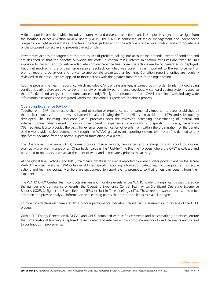A final report is compiled, which includes a corrective and preventative action plan. This report is subject to oversight from the location Corrective Action Review Board (CARB). The CARB is comprised of senior management and independent company oversight representatives and takes the final judgement on the adequacy of the investigation and appropriateness of the proposed corrective and preventative action plan.

Preventative actions are targeted at the root causes of problem, taking into account the potential extent of condition and are designed so that the benefits outweigh the costs. In certain cases, interim mitigation measures are taken to limit exposure to hazards and to restore adequate confidence while final corrective actions are being generated or deployed. Personnel involved in the original issue receive feedback on what was done. This is important to the reinforcement of prompt reporting behaviour and is vital to appropriate organisational learning. Condition report priorities are regularly reviewed so that resources are applied to those actions with the greatest importance to the organisation.

Routine programme health reporting, which includes CAP trending analysis, is carried out in order to identify degrading conditions early before an adverse trend in safety or reliability performance develops. A standard coding system is used so that effective trend analysis can be done subsequently. Finally, the information from CAP is combined with industry-wide information exchanges and integrated within the Operational Experience Feedback process.

# Operating Experience (OPEX)

Together with CAP, the effective sharing and utilisation of experience is a fundamentally important process established by the nuclear industry from the lessons learned initially following the Three Mile Island accident in 1979 and subsequently developed. The Operating Experience (OPEX) processes cover the reviewing, screening, disseminating of internal and external nuclear industry event notices or other operating experience for applicability to specific EDF Energy Generation (NG) facilities. It also provides the basis for external communication of events from within the organisation for the benefit of the worldwide nuclear community through the WANO global event reporting system. (An "event" is defined as any significant deviation from the normal expected functioning of a plant.)

The Operational Experience (OPEX) teams produce internal reports, newsletters and briefings for staff about to consider work activity or plant manoeuvres. Of particular value is the "Just-In-Time Briefing" process where the OPEX is collated and presented to operators and staff at the point of work and immediately prior to the activity.

At the global level, WANO (and INPO) maintain a database of events reported by every nuclear power plant on the secure WANO members' website. WANO has established specific reporting information categories, including causes, corrective actions and learning points. Members are encouraged to report events promptly, so that others can benefit from their experience.

The WANO OPEX Central Team conducts analysis and monitors events across WANO to identify significant issues. Based on the number and significance of events, the Operating Experience Central Team writes Significant Operating Experience Reports (SOERs), Significant Event Reports (SERs) or Just-in-Time briefings (JITs). These reports warrant focused member attention and provide analysed information and learning points that can be applied across all plant types.

To monitor effectiveness there are OPEX process performance indicators, regular self assessments and reviews of the OPEX process.

Within EDF Energy Generation (NG) CAP and OPEX, combined with self assessments and benchmarking processes, ensure that organisational learning is captured, disseminated and retained within corporate memory to reduce events and to lead to continuous improvements.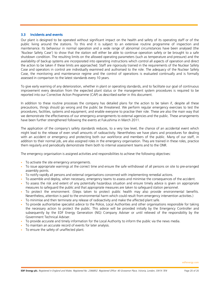# 3.3 Incidents and events

Our plant is designed to be operated without significant impact on the health and safety of its operating staff or of the public living around the stations. To this end it is subject to an extensive routine programme of inspection and maintenance. Its behaviour in normal operation and a wide range of abnormal circumstances have been analysed (the 'Nuclear Safety Case') to show that the station will either be able to continue operation safely or be brought to a safe shutdown condition. The resulting limits on the allowed operating parameters (such as temperature and pressure) and the availability of backup systems are incorporated into operating instructions which control all aspects of operation and direct the action to be taken if these limits are approached. Staff are rigorously trained in the requirements of the Nuclear Safety Case and operators in control are individually examined and authorised to the role. The adequacy of the Nuclear Safety Case, the monitoring and maintenance regime and the control of operations is evaluated continually and is formally assessed in comparison to the latest standards every 10 years.

To give early warning of any deterioration, whether in plant or operating standards, and to facilitate our goal of continuous improvement every deviation from the expected plant status or the management system procedures is required to be reported into our Corrective Action Programme (CAP) as described earlier in this document.

In addition to these routine processes the company has detailed plans for the action to be taken if, despite all these precautions, things should go wrong and the public be threatened. We perform regular emergency exercises to test the procedures, facilities, systems and equipment, and enable everyone to practise their role. These are also the main way that we demonstrate the effectiveness of our emergency arrangements to external agencies and the public. These arrangements have been further strengthened following the events at Fukushima in March 2011.

The application of the company's safety standards reduces, to a very low level, the chance of an accidental event which might lead to the release of even small amounts of radioactivity. Nevertheless we have plans and procedures for dealing with an accident or emergency and protecting both our workforce and members of the public. Many of our staff, in addition to their normal job, are also assigned roles in the emergency organisation. They are trained in these roles, practice them regularly and periodically demonstrate them both to internal assessment teams and to the ONR.

The emergency organisation is assigned activities and responsibilities to achieve the following objectives:

- To activate the site emergency arrangements.
- To issue appropriate warnings at the correct time and ensure the safe withdrawal of all persons on site to pre-arranged assembly points.
- To notify rapidly all persons and external organisations concerned with implementing remedial actions.
- To assemble and deploy, when necessary, emergency teams to assess and minimise the consequences of the accident.
- To assess the risk and extent of any potentially hazardous situation and ensure timely advice is given on appropriate measures to safeguard the public and that appropriate measures are taken to safeguard station personnel.
- To protect the environment. (Steps taken to protect public health may also provide environmental benefits. Nevertheless, attention is paid to the environmental harm which could result from emergency intervention activities.)
- To minimise and then terminate any release of radioactivity and make the affected plant safe.
- To provide authoritative specialist advice to the Police, Local Authorities and other organisations responsible for taking the necessary action to protect the public. This advice will be provided initially by the Emergency Controller and subsequently by the EDF Energy Generation (NG) Company Adviser or until relieved of the responsibility by the Government Technical Adviser.
- To provide accurate and timely information for the Local Authority to inform the public via the news media.
- To maintain an accurate record of events for later analysis.
- To ensure the safety of unaffected plant.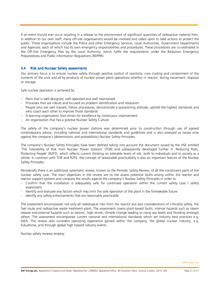If an event should ever occur resulting in a release to the environment of significant quantities of radioactive material then, in addition to our own staff, many off-site organisations would be involved and called upon to take actions to protect the public. These organisations include the Police and other Emergency Services, Local Authorities, Government Departments and Agencies, each of which has its own emergency responsibilities and procedures. These procedures are co-ordinated in the Off-Site Emergency Plan by the Local Authority, which fulfils the requirements under the Radiation Emergency Preparedness and Public Information Regulations (REPPIR).

# 3.4 Risk and Nuclear Safety assessments

Our primary focus is to ensure nuclear safety through positive control of reactivity, core cooling and containment of the contents of the core and all by-products of nuclear power plant operations whether in reactor, during movement, disposal or storage.

Safe nuclear operation is achieved by:

- Plant that is well designed, well operated and well maintained
- Processes that are robust and focused on problem identification and resolution
- People who are well trained, follow procedures, demonstrate a questioning attitude, uphold the highest standards and who coach each other to improve those standards
- A learning organisation that strives for excellence by continuous improvement
- An organisation that has a positive Nuclear Safety Culture

The safety of the company's nuclear power stations was determined prior to construction through use of agreed contemporary advice, including national and international standards and guidelines and is also assessed as issues arise against the company's (deterministic and probabilistic) Nuclear Safety Principles.

The company's Nuclear Safety Principles have been defined taking into account the document issued by the HSE entitled 'The Tolerability of Risk from Nuclear Power Stations' (TOR) and subsequently developed further in 'Reducing Risks, Protecting People' (R2P2), which reflects current thinking on tolerable levels of risk, both to individuals and to society as a whole. In common with TOR and R2P2, the concept of reasonable practicability is also an important feature of the Nuclear Safety Principles.

Periodically there is an additional systematic review, known as the Periodic Safety Review, of all the constituent parts of the nuclear safety case. The main objectives in the review are to risk assess potential faults arising within the reactor and reactor support systems and compare the results against the company's Nuclear Safety Principles in order to:

- Confirm that the installation is adequately safe for continued operation within the current safety case / safety assessment
- Identify and evaluate any factors which may limit the safe operation of the plant in the foreseeable future
- Identify any safety enhancements that are reasonably practicable

The assessment encompasses not only all radiological risks from the reactor but also considerations of criticality safety, the fuel route and radioactive waste treatment plant. The assessment covers plant-based faults, internal hazards such as steam release and external hazards such as seismic, high winds, climate change leading to rising sea levels and flooding amongst others. The assessment encompasses current national and international standards which set industry best practices e.g. IAEA. The review also considers operating experience gained within the company, the global nuclear industry, e.g. Fukushima, and through global high hazard industry events.

Nuclear safety reviews employ: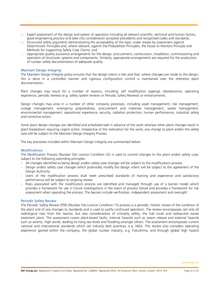- a) Expert assessment of the design and system of operation including all relevant scientific, technical and human factors, good engineering practice and take into consideration accepted precedents and recognised codes and standards;
- b) Structured safety arguments demonstrating the acceptability of the topic under review by assessment against Deterministic Principles and, where relevant, against the Probabilistic Principles, the Doses to Workers Principle and Methods for Supporting Safety Case Claims; and
- $\overrightarrow{c}$  Appropriate quality assurance arrangements for the design, procurement, construction, installation, commissioning and operation of structures, systems and components. Similarly, appropriate arrangements are required for the production of nuclear safety documentation of adequate quality.

#### Maintain Design Integrity

The Maintain Design Integrity policy ensures that the design intent is met and that, where changes are made to the design, this is done in a controlled manner and rigorous configuration control is maintained over the reference plant documentation.

Plant changes may result for a number of reasons, including: self modification (ageing), obsolescence, operating experience, periodic reviews (e.g. safety system reviews or Periodic Safety Reviews) or enhancements.

Design changes may arise in a number of other company processes, including asset management, risk management, outage management, emergency preparedness, procurement and materials management, waste management, environmental management, operational experience, security, radiation protection, human performance, industrial safety and corrective action.

Some plant design changes are identified and scheduled well in advance of the work whereas other plant changes result in plant breakdown requiring urgent action. Irrespective of the motivation for the work, any change to plant and/or the safety case will be subject to the Maintain Design Integrity Process.

The key processes included within Maintain Design Integrity are summarised below:

#### **Modifications**

The Modification Process (Nuclear Site Licence Condition 22) is used to control changes to the plant and/or safety case, subject to the following overriding principles:

- All changes identified as being design and/or safety case changes will be subject to the modifications process
- Design and/or safety case changes which potentially modify the design intent will be subject to the agreement of the Design Authority
- Users of the modification process shall meet prescribed standards of training and experience and satisfactory performance will be subject to ongoing review
- Risks associated with the modification process are identified and managed through use of a barrier model which provides a framework for use in future investigations in the event of process failure and provides a framework for risk assessment when operating the process. The barriers include verification, independent assessment and oversight

#### Periodic Safety Review

The Periodic Safety Review (PSR) (Nuclear Site Licence Condition 15) process is a periodic, holistic review of the condition of the plant and of any changes to standards and is used to justify continued operation. The review encompasses not only all radiological risks from the reactor, but also considerations of criticality safety, the fuel route and radioactive waste treatment plant. The assessment covers plant-based faults, internal hazards such as steam release and external hazards such as seismic, high winds, leading to rising sea levels and flooding amongst others. The assessment encompasses current national and international standards which set industry best practices, e.g. IAEA. The review also considers operating experience gained within the company, the global nuclear industry, e.g. Fukushima, and through global high hazard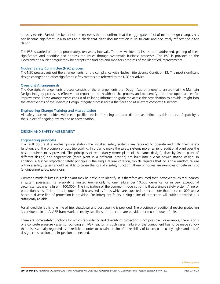industry events. Part of the benefit of the review is that it confirms that the aggregate effect of minor design changes has not become significant. It also acts as a check that plant documentation is up to date and accurately reflects the plant design.

The PSR is carried out on, approximately, ten-yearly intervals. The reviews identify issues to be addressed, grading of their significance and prioritise and address the issues through systematic business processes. The PSR is provided to the Government's nuclear regulator who accepts the findings and monitors progress of the identified improvements.

#### Nuclear Safety Committee (NSC) process

The NSC process sets out the arrangements for the compliance with Nuclear Site Licence Condition 13. The most significant design changes and other significant safety matters are referred to the NSC for advice.

#### Oversight Arrangements

The Oversight Arrangements process consists of the arrangements that Design Authority uses to ensure that the Maintain Design Integrity process is effective, to report on the health of the process and to identify and drive opportunities for improvement. These arrangements consist of collating information gathered across the organisation to provide insight into the effectiveness of the Maintain Design Integrity process across the fleet and at relevant corporate functions.

#### Engineering Change Training and Accreditation

All safety case role holders will meet specified levels of training and accreditation as defined by this process. Capability is the subject of ongoing review and re-accreditation.

#### DESIGN AND SAFETY ASSESSMENT

#### Engineering principles

If a fault occurs at a nuclear power station the installed safety systems are required to operate and fulfil their safety function, e.g. the provision of post trip cooling. In order to make the safety systems more resilient, additional plant over the basic requirement is provided. The principles of redundancy (more plant of the same design), diversity (more plant of different design) and segregation (more plant in a different location) are built into nuclear power station design. In addition, a further important safety principle is the single failure criterion, which requires that no single random failure within a safety system should be able to cause the loss of a safety function. These principles are examples of deterministic (engineering) safety provisions.

Common mode failures in similar plant may be difficult to identify. It is therefore assumed that, however much redundancy a system possesses, its reliability is limited (numerically to one failure per 10,000 demands, or in very exceptional circumstances one failure in 100,000). The implication of the common mode cut-off is that a single safety system / line of protection is insufficient for a frequent fault (classified as faults which are expected to occur more than once in 1000 years) hence a diverse line of protection is provided. For infrequent faults, a single line of protection will suffice provided it is sufficiently reliable.

For all credible faults, one line of trip, shutdown and post cooling is provided. The provision of additional reactor protection is considered in an ALARP framework. In reality two lines of protection are provided for most frequent faults.

There are some safety functions for which redundancy and diversity of protection is not possible. For example, there is only one concrete pressure vessel surrounding an AGR reactor. In such cases, failure of the component has to be made so low that it is essentially regarded as incredible. In order to sustain a claim of incredibility of failure, particularly high standards of design, construction and inspection are needed.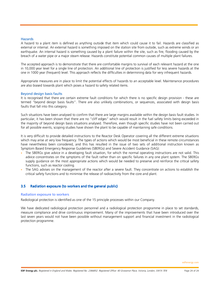#### **Hazards**

A hazard to a plant item is defined as anything outside that item which could cause it to fail. Hazards are classified as external or internal. An external hazard is something imposed on the station site from outside, such as extreme winds or an earthquake. An internal hazard is something caused by a plant failure within the site, such as fire, flooding caused by the breach of a water pipe or a major steam release. Hazards constitute potential common causes of multiple plant failures.

The accepted approach is to demonstrate that there are comfortable margins to survival of each relevant hazard at the one in 10,000 year level for a single line of protection. An additional line of protection is justified for less severe hazards at the one in 1000 year (frequent) level. This approach reflects the difficulties in determining data for very infrequent hazards.

Appropriate measures are in place to limit the potential effects of hazards to an acceptable level. Maintenance procedures are also biased towards plant which poses a hazard to safety related items.

#### Beyond design basis faults

It is recognised that there are certain extreme fault conditions for which there is no specific design provision - these are termed "beyond design basis faults". There are also unlikely combinations, or sequences, associated with design basis faults that fall into this category.

Such situations have been analysed to confirm that there are large margins available within the design basis fault studies. In particular, it has been shown that there are no "cliff edges" which would result in the fuel safety limits being exceeded in the majority of beyond design basis situations analysed. Therefore, even though specific studies have not been carried out for all possible events, scoping studies have shown the plant to be capable of maintaining safe conditions.

It is very difficult to provide detailed instructions to the Reactor Desk Operator covering all the different extreme situations which may arise at very low frequency. The types of actions which would be most beneficial in these remote circumstances have nevertheless been considered, and this has resulted in the issue of two sets of additional instruction known as Symptom Based Emergency Response Guidelines (SBERGs) and Severe Accident Guidance (SAG):

- The SBERGs give advice in a developing fault situation, for which the normal operating instructions are not valid. This advice concentrates on the symptoms of the fault rather than on specific failures in any one plant system. The SBERGs supply guidance on the most appropriate actions which would be needed to preserve and reinforce the critical safety functions, such as reactor cooling.
- The SAG advises on the management of the reactor after a severe fault. They concentrate on actions to establish the critical safety functions and to minimise the release of radioactivity from the core and plant.

# 3.5 Radiation exposure (to workers and the general public)

#### Radiation exposure to workers

Radiological protection is identified as one of the 15 principle processes within our Company.

We have dedicated radiological protection personnel and a radiological protection programme in place to set standards, measure compliance and drive continuous improvement. Many of the improvements that have been introduced over the last seven years would not have been possible without management support and financial investment in the radiological protection programme.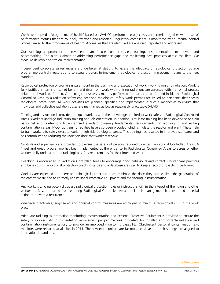We have adopted a 'programme of health' based on WANO's performance objectives and criteria, together with a set of performance metrics that are routinely reviewed and reported. Regulatory compliance is monitored by an internal control process linked to the 'programme of health'. Anomalies that are identified are analysed, reported and addressed.

Our radiological protection improvement plan focuses on processes, training, instrumentation, manpower and benchmarking. The plan is aimed at addressing performance gaps and replicating best practices across the fleet. We measure delivery and station implementation.

Independent corporate surveillances are undertaken at stations to assess the adequacy of radiological protection outage programme control measures and to assess progress to implement radiological protection improvement plans to the fleet standard.

Radiological protection of workers is paramount in the planning and execution of work involving ionising radiation. Work is fully justified in terms of its net benefit and risks from work with ionising radiations are assessed within a formal process linked to all work performed. A radiological risk assessment is performed for each task performed inside the Radiological Controlled Area by a radiation safety engineer and radiological safety work permits are issued to personnel that specify radiological precautions. All work activities are planned, specified and implemented in such a manner as to ensure that individual and collective radiation doses are maintained as low as reasonably practicable (ALARP).

Training and instruction is provided to equip workers with the knowledge required to work safely in Radiological Controlled Areas. Workers undergo induction training and job orientation. In addition, simulator training has been developed to train personnel and contractors to an agreed standard covering fundamental requirements for working in and exiting contamination areas. Mock up training facilities have also been provided which simulate the reactor and plant. These help to train workers to safely execute work in high risk radiological areas. This training has resulted in improved standards and has contributed to reducing the radiation dose that workers receive.

Controls and supervision are provided to oversee the safety of persons required to enter Radiological Controlled Areas. A 'meet and greet' programme has been implemented at the entrance to Radiological Controlled Areas to assess whether workers fully understand the radiological safety requirements for their intended work.

Coaching is encouraged in Radiation Controlled Areas to encourage good behaviours and correct sub-standard practices and behaviours. Radiological protection coaching cards and a database are used to keep a record of coaching performed.

Workers are expected to adhere to radiological protection rules, minimise the dose they accrue, limit the generation of radioactive waste and to correctly use Personal Protective Equipment and monitoring instrumentation.

Any workers who purposely disregard radiological protection rules or instructions will, in the interest of their own and other workers' safety, be barred from entering Radiological Controlled Areas until their management has instituted remedial action to prevent a recurrence.

Whenever practicable, engineered and physical control measures are employed to minimise radiological risks in the work place.

Adequate radiological protection monitoring instrumentation and Personal Protective Equipment is provided to ensure the safety of workers. An instrumentation replacement programme was instigated, for installed and portable radiation and contamination instrumentation, to provide an improved monitoring capability. Obsolescent personal contamination exit monitors were replaced at all sites in 2011. The new exit monitors are far more sensitive and their settings are aligned to international standards.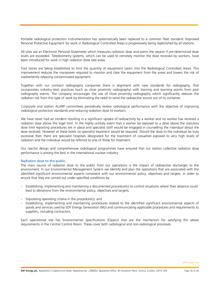Portable radiological protection instrumentation has systematically been replaced to a common fleet standard. Improved Personal Protective Equipment for work in Radiological Controlled Areas is progressively being replenished by all stations.

All sites use an Electronic Personal Dosemeter which measures radiation dose and warns the wearer if pre-determined dose levels are exceeded. Teledosimetry systems, which can be used to remotely monitor the dose received by workers, have been introduced for work in high radiation dose rate areas.

Tool stores are being established to limit the quantity of equipment taken into the Radiological Controlled Areas. This improvement reduces the manpower required to monitor and clear the equipment from the areas and lowers the risk of inadvertently releasing contaminated equipment.

Together with our contract radiography companies there is alignment with new standards for radiography, that incorporates industry best practices (such as close proximity radiography) with training and learning points from past radiography events. The company encourages the use of close proximity radiography which significantly reduces the radiation risk from this type of work by eliminating the need to wind the radioactive source out of its container.

Corporate and station ALARP committees periodically review radiological performance with the objective of improving radiological protection standards and reducing radiation dose to workers.

We have never had an incident resulting in a significant uptake of radioactivity by a worker and no worker has received a radiation dose above the legal limit. In the highly unlikely event that a worker be exposed to a dose above the statutory dose limit reporting procedures are in place and specialist staff would be engaged in counselling the individual about the dose received. However at these levels no specialist treatment would be required. Should the dose to the individual be truly excessive then there are specialist hospitals designated for the treatment of casualties exposed to very high levels of radiation and the individual would be referred to one of these for treatment.

Our reactor design and comprehensive radiological programmes have ensured that our station collective radiation dose performance is among the best in the international nuclear industry.

#### Radiation dose to the public

The main source of radiation dose to the public from our operations is the impact of radioactive discharges to the environment. In our Environmental Management System we identify and plan the operations that are associated with the identified significant environmental aspects consistent with our environmental policy, objectives and targets, in order to ensure that they are carried out under specified conditions by:

- Establishing, implementing and maintaining a documented procedure(s) to control situations where their absence could lead to deviations from the environmental policy, objectives and targets;
- Stipulating operating criteria in the procedure(s); and
- Establishing, implementing and maintaining procedures related to the identified significant environmental aspects of goods and services used by EDF Energy Generation (NG) and communicating applicable procedures and requirements to suppliers, including contractors.

Each operational site has Environmental Specifications (ESpecs) that are the mechanism for satisfying the above requirements in the Central Control Room. These cover both radiological and non-radiological processes.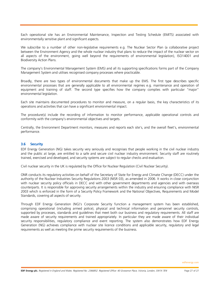Each operational site has an Environmental Maintenance, Inspection and Testing Schedule (EMITS) associated with environmentally sensitive plant and significant aspects.

We subscribe to a number of other non-legislative requirements e.g. The Nuclear Sector Plan (a collaborative project between the Environment Agency and the whole nuclear industry that plans to reduce the impact of the nuclear sector on all aspects of the environment, going well beyond the requirements of environmental legislation), ISO14001 and Biodiversity Action Plans.

The company's Environmental Management System (EMS) and all its supporting specifications forms part of the Company Management System and utilises recognised company processes where practicable.

Broadly, there are two types of environmental documents that make up the EMS. The first type describes specific environmental processes that are generally applicable to all environmental regimes e.g. maintenance and operation of equipment and training of staff. The second type specifies how the company complies with particular "major" environmental legislation.

Each site maintains documented procedures to monitor and measure, on a regular basis, the key characteristics of its operations and activities that can have a significant environmental impact.

The procedure(s) include the recording of information to monitor performance, applicable operational controls and conformity with the company's environmental objectives and targets.

Centrally, the Environment Department monitors, measures and reports each site's, and the overall fleet's, environmental performance.

# 3.6 Security

EDF Energy Generation (NG) takes security very seriously and recognises that people working in the civil nuclear industry and the public at large, are entitled to a safe and secure civil nuclear industry environment. Security staff are routinely trained, exercised and developed, and security systems are subject to regular checks and evaluation.

Civil nuclear security in the UK is regulated by the Office for Nuclear Regulation (Civil Nuclear Security).

ONR conducts its regulatory activities on behalf of the Secretary of State for Energy and Climate Change (DECC) under the authority of the Nuclear Industries Security Regulations 2003 (NISR 03), as amended in 2006. It works in close conjunction with nuclear security policy officials in DECC and with other government departments and agencies and with overseas counterparts. It is responsible for approving security arrangements within the industry and ensuring compliance with NISR 2003 which is enforced in the form of a Security Policy Framework and the National Objectives, Requirements and Model Standards, covering all aspects of security.

Through EDF Energy Generation (NG)'s Corporate Security function a management system has been established, comprising operational (including armed police), physical and technical information and personnel security controls, supported by processes, standards and guidelines that meet both our business and regulatory requirements. All staff are made aware of security requirements and trained appropriately. In particular they are made aware of their individual security responsibilities, regulatory compliance and event reporting. The system also demonstrates how EDF Energy Generation (NG) achieves compliance with nuclear site licence conditions and applicable security, regulatory and legal requirements as well as meeting the prime security requirements of the business.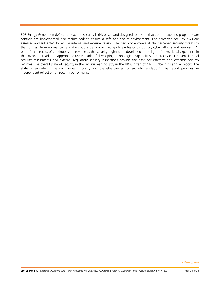EDF Energy Generation (NG)'s approach to security is risk based and designed to ensure that appropriate and proportionate controls are implemented and maintained; to ensure a safe and secure environment. The perceived security risks are assessed and subjected to regular internal and external review. The risk profile covers all the perceived security threats to the business from normal crime and malicious behaviour through to protestor disruption, cyber attacks and terrorism. As part of the process of continuous improvement, the security regimes are developed in the light of operational experience in the UK and abroad, and appropriate use is made of developing technologies, capabilities and processes. Frequent internal security assessments and external regulatory security inspections provide the basis for effective and dynamic security regimes. The overall state of security in the civil nuclear industry in the UK is given by ONR (CNS) in its annual report 'The state of security in the civil nuclear industry and the effectiveness of security regulation'. The report provides an independent reflection on security performance.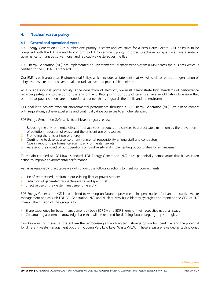# 4. Nuclear waste policy

#### 4.1 General and operational wastel

EDF Energy Generation (NG)'s number one priority is safety and we strive for a Zero Harm Record. Our policy is to be compliant with the UK law and to conform to UK Government policy. In order to achieve our goals we have a suite of governance to manage conventional and radioactive waste across the fleet.

EDF Energy Generation (NG) has implemented an Environmental Management System (EMS) across the business which is certified to the ISO14001 standard.

Our EMS is built around an Environmental Policy, which includes a statement that we will seek to reduce the generation of all types of waste, both conventional and radioactive, to a practicable minimum.

As a business whose prime activity is the generation of electricity we must demonstrate high standards of performance regarding safety and protection of the environment. Recognising our duty of care, we have an obligation to ensure that our nuclear power stations are operated in a manner that safeguards the public and the environment.

Our goal is to achieve excellent environmental performance throughout EDF Energy Generation (NG). We aim to comply with regulations, achieve excellence and continually drive ourselves to a higher standard.

EDF Energy Generation (NG) seeks to achieve the goals set by:

- 1. Reducing the environmental effect of our activities, products and services to a practicable minimum by the prevention of pollution, reduction of waste and the efficient use of resources
- 2. Promoting the efficient use of energy
- 3. Continuing to develop a sense of environmental responsibility among staff and contractors
- 4. Openly reporting performance against environmental targets
- 5. Assessing the impact of our operations on biodiversity and implementing opportunities for enhancement

To remain certified to ISO14001 standard, EDF Energy Generation (NG) must periodically demonstrate that it has taken action to improve environmental performance.

As far as reasonably practicable we will conduct the following actions to meet our commitments:

- Use of reprocessed uranium in our existing fleet of power stations
- Reduction of generated radioactive waste and spent fuel
- Effective use of the waste management hierarchy

EDF Energy Generation (NG) is committed to working on future improvements in spent nuclear fuel and radioactive waste management and as such EDF SA, Generation (NG) and Nuclear New Build identify synergies and report to the CEO of EDF Energy. The mission of this group is to:

- Share experience for better management by both EDF SA and EDF Energy of their respective national issues.
- Constructing a common knowledge base that will be required for defining future, larger group strategies.

Two key areas of interest at present are the reprocessing and/or long term storage option for spent fuel and the potential for different waste management options including Very Low Level Waste (VLLW). These areas are reviewed as technologies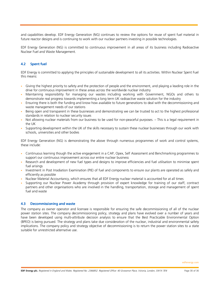and capabilities develop. EDF Energy Generation (NG) continues to review the options for reuse of spent fuel material in future reactor designs and is continuing to work with our nuclear partners investing in possible technologies.

EDF Energy Generation (NG) is committed to continuous improvement in all areas of its business including Radioactive Nuclear Fuel and Waste Management.

# 4.2 Spent fuel

EDF Energy is committed to applying the principles of sustainable development to all its activities. Within Nuclear Spent Fuel this means:

- Giving the highest priority to safety and the protection of people and the environment, and playing a leading role in the drive for continuous improvement in these areas across the worldwide nuclear industry
- Maintaining responsibility for managing our wastes including working with Government, NGOs and others to demonstrate real progress towards implementing a long term UK radioactive waste solution for the industry
- Ensuring there is both the funding and know how available to future generations to deal with the decommissioning and waste management needs of our stations
- Being open and transparent in these businesses and demonstrating we can be trusted to act to the highest professional standards in relation to nuclear security issues
- Not allowing nuclear materials from our business to be used for non-peaceful purposes. This is a legal requirement in the UK
- Supporting development within the UK of the skills necessary to sustain these nuclear businesses through our work with schools, universities and other bodies

EDF Energy Generation (NG) is demonstrating the above through numerous programmes of work and control systems, these include:

- Continuous learning though the active engagement in a CAP, Opex, Self Assessment and Benchmarking programmes to support our continuous improvement across our entire nuclear business
- Research and development of new fuel types and designs to improve efficiencies and fuel utilisation to minimise spent fuel arisings
- Investment in Post Irradiation Examination (PIE) of fuel and components to ensure our plants are operated as safely and efficiently as possible
- Nuclear Material Accountancy, which ensures that all EDF Energy nuclear material is accounted for at all times
- Supporting our Nuclear Power Academy through provision of expert knowledge for training of our staff, contract partners and other organisations who are involved in the handling, transportation, storage and management of spent fuel and waste

# 4.3 Decommissioning and waste

The company as owner operator and licensee is responsible for ensuring the safe decommissioning of all of the nuclear power station sites. The company decommissioning policy, strategy and plans have evolved over a number of years and have been developed using multi-attribute decision analysis to ensure that the Best Practicable Environmental Option (BPEO) is being pursued. The strategy and plans take due consideration of the nuclear, industrial and environmental safety implications. The company policy and strategy objective of decommissioning is to return the power station sites to a state suitable for unrestricted alternative use.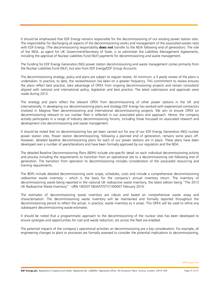It should be emphasised that EDF Energy remains responsible for the decommissioning of our existing power station sites. The responsibility for discharging all aspects of the decommissioning works and management of the associated wastes rests with EDF Energy. (The decommissioning responsibility **does not** transfer to the NDA following end of generation). The role of the NDA, as agent for UK Government/Secretary of State, is to administer the Liabilities Management Agreements, including the approval of Nuclear Liabilities Fund (NLF) payments for decommissioning and waste management.

The funding for EDF Energy Generation (NG) power station decommissioning and waste management comes primarily from the Nuclear Liabilities Fund (NLF), but also from EDF Energy/EDF Group Accounts

The decommissioning strategy, policy and plans are subject to regular review. At minimum, a 5 yearly review of the plans is undertaken. In practice, to date, the review/revision has been on a greater frequency. This commitment to review ensures the plans reflect best practice, take advantage of OPEX from ongoing decommissioning projects and remain consistent/ aligned with national and international policy, legislation and best practice. The latest submissions and approvals were made during 2013.

The strategy and plans reflect the relevant OPEX from decommissioning of other power stations in the UK and internationally. In developing our decommissioning plans and strategy EDF Energy has worked with experienced contractors involved in Magnox fleet decommissioning and international decommissioning projects. We aim to ensure OPEX on decommissioning relevant to our nuclear fleet is reflected in our associated plans and approach. Hence, the company actively participates in a range of Industry decommissioning forums, including those focussed on associated research and development into decommissioning and waste management.

It should be noted that no decommissioning has yet been carried out for any of our EDF Energy Generation (NG) nuclear power station sites. Power station decommissioning, following a planned end of generation, remains some years off. However, detailed baseline decommissioning plans for each of our power stations are in place. These plans have been developed over a number of years/iterations and have been formally approved by our regulators and the NDA.

The detailed Baseline Decommissioning Plans (BDPs) include site-specific detail on each individual decommissioning activity and process including the requirements to transition from an operational site to a decommissioning site following end of generation. The transition from operation to decommissioning includes consideration of the associated resourcing and training requirements.

The BDPs include detailed decommissioning work scope, schedules, costs and include a comprehensive decommissioning radioactive waste inventory – which is the basis for the company's annual inventory return. The inventory of decommissioning waste being reported in the national UK radioactive waste inventory, the latest edition being "The 2013 UK Radioactive Waste Inventory" - URN 14D037 NDA/ST/STY(14)0007 February 2014.

The estimates of decommissioning waste inventory are robust and based on comprehensive waste assay and characterisation. The decommissioning waste inventory will be maintained and formally reported throughout the decommissioning period to reflect the actual, in practice, waste inventory as it arises. This OPEX will be used to refine any subsequent decommissioning waste estimates.

It should be noted that a programmatic approach to the decommissioning of the nuclear sites has been developed to ensure synergies and opportunities for cost and waste reduction, etc across the fleet are enabled.

The potential impacts of the company's operational activities on decommissioning are a key consideration. For example, all engineering changes to plant or processes are formally assessed to consider the potential implications to decommissioning,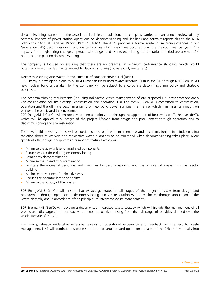decommissioning wastes and the associated liabilities. In addition, the company carries out an annual review of any potential impacts of power station operations on decommissioning and liabilities and formally reports this to the NDA within the "Annual Liabilities Report: Part 1" (ALR1). The ALR1 provides a formal route for recording changes in our Generation (NG) decommissioning and waste liabilities which may have occurred over the previous financial year. Any impacts from engineering changes, operational changes and events etc, during the operational period are assessed for potential to impact on decommissioning.

The company is focused on ensuring that there are no breaches in minimum performance standards which would potentially result in a detrimental impact to decommissioning (increase cost, wastes etc).

#### Decommissioning and waste in the context of Nuclear New Build (NNB)

EDF Energy is developing plans to build 4 European Pressurised Water Reactors (EPR) in the UK through NNB GenCo. All new nuclear build undertaken by the Company will be subject to a corporate decommissioning policy and strategic objectives.

The decommissioning requirements (including radioactive waste management) of our proposed EPR power stations are a key consideration for their design, construction and operation. EDF Energy/NNB GenCo is committed to construction, operation and the ultimate decommissioning of new build power stations in a manner which minimises its impacts on workers, the public and the environment.

EDF Energy/NNB GenCo will ensure environmental optimisation through the application of Best Available Techniques (BAT), which will be applied at all stages of the project lifecycle from design and procurement through operation and to decommissioning and site restoration.

The new build power stations will be designed and built with maintenance and decommissioning in mind, enabling radiation doses to workers and radioactive waste quantities to be minimised when decommissioning takes place. More specifically the design incorporates a number of features which will:

- Minimise the activity level of irradiated components
- Reduce worker dose during decommissioning
- Permit easy decontamination
- Minimise the spread of contamination
- Facilitate the access of personnel and machines for decommissioning and the removal of waste from the reactor building
- Minimise the volume of radioactive waste
- Reduce the operator intervention time
- Minimise the toxicity of the waste.

EDF Energy/NNB GenCo will ensure that wastes generated at all stages of the project lifecycle from design and procurement through operation to decommissioning and site restoration will be minimised through application of the waste hierarchy and in accordance of the principles of integrated waste management .

EDF Energy/NNB GenCo will develop a documented integrated waste strategy which will include the management of all wastes and discharges, both radioactive and non-radioactive, arising from the full range of activities planned over the whole lifecycle of the site.

EDF Energy already undertakes extensive reviews of operational experience and feedback with respect to waste management. NNB will continue this process into the construction and operational phases of the EPR and eventually into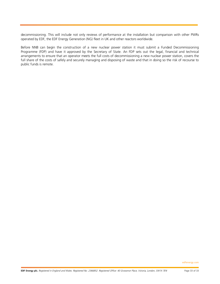decommissioning. This will include not only reviews of performance at the installation but comparison with other PWRs operated by EDF, the EDF Energy Generation (NG) fleet in UK and other reactors worldwide.

Before NNB can begin the construction of a new nuclear power station it must submit a Funded Decommissioning Programme (FDP) and have it approved by the Secretary of State. An FDP sets out the legal, financial and technical arrangements to ensure that an operator meets the full costs of decommissioning a new nuclear power station, covers the full share of the costs of safely and securely managing and disposing of waste and that in doing so the risk of recourse to public funds is remote.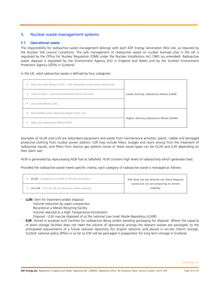# 5. Nuclear waste management systems

## 5.1 Operational waste

The responsibility for radioactive waste management belongs with each EDF Energy Generation (NG) site, as required by the Nuclear Site Licence Conditions. The safe management of radioactive waste on nuclear licensed sites in the UK is regulated by the Office for Nuclear Regulation (ONR) under the Nuclear Installations Act 1965 (as amended). Radioactive waste disposal is regulated by the Environment Agency (EA) in England and Wales and by the Scottish Environment Protection Agency (SEPA) in Scotland.

In the UK, solid radioactive waste is defined by four categories:

| Very Low Level Waste (VLLW) – with exempted or permitted radioactivity,<br>۰ |                                         |
|------------------------------------------------------------------------------|-----------------------------------------|
| Lower Activity – Low Level radioactive Waste (LA-LLW),<br>۰                  | Lower Activity radioactive Waste (LAW)  |
| Low Level Waste (LLW),<br>۰                                                  |                                         |
| Intermediate Level radioactive Waste (ILW), and<br>٠                         |                                         |
| High Level radioactive Waste (HLW).                                          | Higher Activity radioactive Waste (HAW) |

Examples of VLLW and LLW are redundant equipment and waste from maintenance activities, plastic, rubble and damaged protective clothing from nuclear power stations. ILW may include filters, sludges and resins arising from the treatment of radioactive liquids, and filters from reactor gas systems (some of these waste types can be VLLW and LLW depending on their plant use).

HLW is generated by reprocessing AGR fuel at Sellafield. HLW contains high levels of radioactivity which generates heat.

Provided the radioactive waste meets specific criteria, each category of radioactive waste is managed as follows:

| <b>VLLW:</b> Consigned for landfill or off-site incineration. | EDF does not yet directly use these disposal        |
|---------------------------------------------------------------|-----------------------------------------------------|
| • LA-LLW: Sent off site for treatment and/or disposal.        | routes but we are preparing to review<br>viability. |

#### **LLW:** Sent for treatment and/or disposal

- Volume reduction by super-compaction
- Recycled at a Metals Recycling Facility
- Volume reduced at a High Temperature Incinerator)
- Disposal LLW may be disposed of at the national Low Level Waste Repository (LLWR)
- **ILW**: Stored in purpose built facilities for radioactive decay and/or pending packaging for disposal. Where the capacity of plant storage facilities does not meet the volume of operational arisings the relevant wastes are packaged, to the anticipated requirements of a future national repository (for English stations), and placed in on-site interim storage. Scottish national policy differs in so far as ILW will be packaged in preparation for long term storage in Scotland.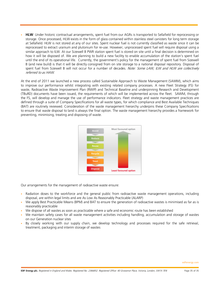• **HLW**: Under historic contractual arrangements, spent fuel from our AGRs is transported to Sellafield for reprocessing or storage. Once processed, HLW exists in the form of glass contained within stainless steel canisters for long term storage at Sellafield. HLW is not stored at any of our sites. Spent nuclear fuel is not currently classified as waste since it can be reprocessed to extract uranium and plutonium for re-use. However, unprocessed spent fuel will require disposal using a similar approach to ILW. At our Sizewell B PWR station spent fuel is stored on site until a final decision is determined on how it will be disposed of. We are planning to build a new facility to enable accumulation of the station's spent fuel until the end of its operational life. Currently, the government's policy for the management of spent fuel from Sizewell B (and new build) is that it will be directly consigned from on site storage to a national disposal repository. Disposal of spent fuel from Sizewell B will not occur for a number of decades. Note: Some LAW, ILW and HLW are collectively referred to as HAW.

At the end of 2011 we launched a new process called Sustainable Approach to Waste Management (SAWM), which aims to improve our performance whilst integrating with existing related company processes. A new Fleet Strategy (FS) for waste, Radioactive Waste Improvement Plan (RWIP) and Technical Baseline and underpinning Research and Development (TBuRD) documents have been issued, the requirements of which will be implemented across the fleet. SAWM, through the FS, will develop and manage the use of performance indicators. Fleet strategy and waste management practices are defined through a suite of Company Specifications for all waste types, for which compliance and Best Available Techniques (BAT) are routinely reviewed. Consideration of the waste management hierarchy underpins these Company Specifications to ensure that waste disposal to land is always the final option. The waste management hierarchy provides a framework for preventing, minimising, treating and disposing of waste.



Our arrangements for the management of radioactive waste ensure:

- Radiation doses to the workforce and the general public from radioactive waste management operations, including disposal, are within legal limits and are As Low As Reasonably Practicable (ALARP)
- We apply Best Practicable Means (BPM) and BAT to ensure the generation of radioactive wastes is minimised as far as is reasonably practicable
- We dispose of all wastes as soon as practicable where a safe and economic route has been established
- We maintain safety cases for all waste management activities including handling, accumulation and storage of wastes on our Generation nuclear sites
- By closely working with our supply chain, we develop technology and processes required for the safe retrieval, treatment, packaging and interim storage of wastes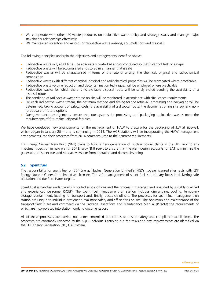- We co-operate with other UK waste producers on radioactive waste policy and strategy issues and manage major stakeholder relationships effectively
- We maintain an inventory and records of radioactive waste arisings, accumulations and disposals

The following principles underpin the objectives and arrangements identified above:

- Radioactive waste will, at all times, be adequately controlled and/or contained so that it cannot leak or escape
- Radioactive waste will be accumulated and stored in a manner that is safe
- Radioactive wastes will be characterised in terms of the rate of arising, the chemical, physical and radiochemical composition
- Radioactive wastes with different chemical, physical and radiochemical properties will be segregated where practicable
- Radioactive waste volume reduction and decontamination techniques will be employed where practicable
- Radioactive wastes for which there is no available disposal route will be safely stored pending the availability of a disposal route
- The condition of radioactive waste stored on site will be monitored in accordance with site licence requirements
- For each radioactive waste stream, the optimum method and timing for the retrieval, processing and packaging will be determined, taking account of safety, costs, the availability of a disposal route, the decommissioning strategy and nonforeclosure of future options
- Our governance arrangements ensure that our systems for processing and packaging radioactive wastes meet the requirements of future final disposal facilities

We have developed new arrangements for the management of HAW to prepare for the packaging of ILW at Sizewell, which began in January 2014 and is continuing in 2014. The AGR stations will be incorporating the HAW management arrangements into their processes from 2014 commensurate to their current requirements.

EDF Energy Nuclear New Build (NNB) plans to build a new generation of nuclear power plants in the UK. Prior to any investment decision in new plants, EDF Energy NNB seeks to ensure that the plant design accounts for BAT to minimise the generation of spent fuel and radioactive waste from operation and decommissioning.

# 5.2 Spent fuel

The responsibility for spent fuel on EDF Energy Nuclear Generation Limited's (NG)'s nuclear licensed sites rests with EDF Energy Nuclear Generation Limited as Licensee. The safe management of spent fuel is a primary focus in delivering safe operation and our Zero Harm targets.

Spent Fuel is handled under carefully controlled conditions and the process is managed and operated by suitably qualified and experienced personnel (SQEP). The spent fuel management on station includes dismantling, cooling, temporary storage, containment, loading for transport and, finally, despatch off-site. The processes for spent fuel management on station are unique to individual stations to maximise safety and efficiencies on site. The operation and maintenance of the transport flask is set and controlled via the Package Operations and Maintenance Manual (POMM) the requirements of which are incorporated into station working documentation.

All of these processes are carried out under controlled procedures to ensure safety and compliance at all times. The processes are constantly reviewed by the SQEP individuals carrying out the tasks and any improvements are identified via the EDF Energy Generation (NG) CAP system.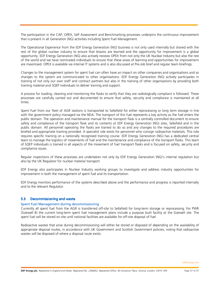The participation in the CAP, OPEX, Self Assessment and Benchmarking processes underpins the continuous improvement that is present in all Generation (NG) activities including Spent Fuel Management.

The Operational Experience from the EDF Energy Generation (NG) business is not only used internally but shared with the rest of the global nuclear industry to ensure that lessons are learned and the opportunity for improvement is a global opportunity. EDF Energy Generation (NG) also actively reviews OPEX from not only the UK Nuclear Industry but also the rest of the world and we have nominated individuals to ensure that these areas of learning and opportunities for improvement are maximised. OPEX is available via internal IT systems and is also discussed at Pre-Job brief and regular team briefings.

Changes to the management system for spent fuel can often have an impact on other companies and organisations and so changes to the system are communicated to other organisations. EDF Energy Generation (NG) actively participates in training of not only our own staff and contract partners but also in the training of other organisations by providing both training material and SQEP individuals to deliver training and support.

A process for loading, cleaning and monitoring the flasks to verify that they are radiologically compliant is followed. These processes are carefully carried out and documented to ensure that safety, security and compliance is maintained at all times.

Spent Fuel from our fleet of AGR stations is transported to Sellafield for either reprocessing or long term storage in line with the government policy managed via the NDA. The transport of this fuel represents a key activity as the fuel enters the public domain. The operation and maintenance manual for the transport flask is a centrally controlled document to ensure safety and compliance of the transport flask and its contents at EDF Energy Generation (NG) sites, Sellafield and in the public domain. All personnel operating the flasks are trained to do so and any changes to the required procedures are briefed and appropriate training provided. A specialist role exists for personnel who consign radioactive materials. This role requires specific training on a nationally recognised training course. EDF Energy Generation (NG) has a dedicated central team to manage the logistics of movements of fuel and the maintenance and compliance of the transport flasks. This team of SQEP individuals is trained in all aspects of the movement of fuel transport flasks and is focused on safety, security and compliance issues.

Regular inspections of these processes are undertaken not only by EDF Energy Generation (NG)'s internal regulation but also by the UK Regulator for nuclear material transport.

EDF Energy also participates in Nuclear Industry working groups to investigate and address industry opportunities for improvement in both the management of spent fuel and its transportation.

EDF Energy monitors performance of the systems described above and the performance and progress is reported internally and to the relevant Regulator.

# 5.3 Decommissioning and waste

#### Spent Fuel Management during decommissioning

Currently all spent fuel from the AGR is transferred off-site to Sellafield for long-term storage or reprocessing. For PWR (Sizewell B) the current long-term spent fuel management plans include a purpose built facility at the Sizewell site. The spent fuel will be stored on site until national facilities are available for off-site disposal of fuel.

Radioactive wastes that arise during decommissioning will either be stored or disposed of depending on the availability of appropriate disposal routes, in accordance with UK Government and Scottish Government policies, noting that radioactive wastes will be disposed of where a disposal route exists.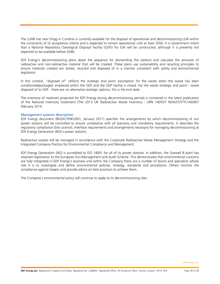The LLWR site near Drigg in Cumbria is currently available for the disposal of operational and decommissioning LLW within the constraints of its acceptance criteria and is expected to remain operational until at least 2050. It is Government intent that a National Repository (Geological Disposal Facility (GDF)) for ILW will be constructed, although it is presently not expected to be available before 2040.

EDF Energy's decommissioning plans detail the sequence for dismantling the stations and calculate the amounts of radioactive and non-radioactive material that will be created. These plans use sustainability and recycling principles to ensure materials created are stored, recycled and disposed of in a manner consistent with safety and environmental legislation.

In this context, "disposed of" reflects the strategic end point assumption for the waste when the waste has been conditioned/packaged, emplaced within the GDF and the GDF facility is closed. For the waste strategic end point - waste disposed of to GDF - there are no alternative strategic options, this is the end state.

The inventory of materials projected for EDF Energy during decommissioning periods is contained in the latest publication of the National Inventory Statement (The 2013 UK Radioactive Waste Inventory - URN 14D037 NDA/ST/STY(14)0007 February 2014.

#### Management systems description

EDF Energy document (BEG/ICP/NFL/001, January 2011) specifies the arrangements by which decommissioning of our power stations will be controlled to ensure compliance with all statutory and mandatory requirements. It describes the regulatory compliance (Site Licence), interface requirements and arrangements necessary for managing decommissioning at EDF Energy Generation (NG)'s power stations.

Radioactive wastes will be managed in accordance with the Corporate Radioactive Waste Management Strategy and the Integrated Company Practice for Environmental Compliance and Management.

EDF Energy Generation (NG) is accredited to ISO 14001 for all of its power stations. In addition, the Sizewell B plant has attained registration to the European Eco-Management and Audit Scheme. This demonstrates that environmental concerns are fully integrated in EDF Energy's business and within the Company there are a number of teams and specialists whose role it is to investigate and define environmental policies, strategy, standards and procedures. Others monitor the compliance against targets and provide advice on best practices to achieve them.

The Company's environmental policy will continue to apply to its decommissioning sites.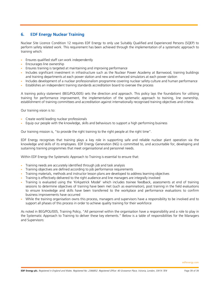# 6. EDF Energy Nuclear Training

Nuclear Site Licence Condition 12 requires EDF Energy to only use Suitably Qualified and Experienced Persons (SQEP) to perform safety related work. This requirement has been achieved through the implementation of a systematic approach to training which:

- Ensures qualified staff can work independently
- Encourages line ownership
- Ensures training is targeted at maintaining and improving performance
- Includes significant investment in infrastructure such as the Nuclear Power Academy at Barnwood, training buildings and training departments at each power station and new and enhanced simulators at each power station
- Includes development of a nuclear professionalism programme covering nuclear safety culture and human performance
- Establishes an independent training standards accreditation board to oversee the process

A training policy statement (BEG/POL/005) sets the direction and approach. This policy lays the foundations for utilising training for performance improvement, the implementation of the systematic approach to training, line ownership, establishment of training committees and accreditation against internationally recognised training objectives and criteria.

Our training vision is to:

- Create world leading nuclear professionals
- Equip our people with the knowledge, skills and behaviours to support a high performing business

Our training mission is, "to provide the right training to the right people at the right time".

EDF Energy recognises that training plays a key role in supporting safe and reliable nuclear plant operation via the knowledge and skills of its employees. EDF Energy Generation (NG) is committed to, and accountable for, developing and sustaining training programmes that meet organisational and personnel needs.

Within EDF Energy the Systematic Approach to Training is essential to ensure that:

- Training needs are accurately identified through job and task analysis
- Training objectives are defined according to job performance requirements
- Training materials, methods and instructor lesson plans are developed to address learning objectives
- Training is effectively delivered to the right audience and line managers are integrally involved
- Training is evaluated using the 'Kirkpatrick Model' which includes trainee feedback, assessments at end of training sessions to determine objectives of training have been met (such as examination), post training in the field evaluations to ensure knowledge and skills have been transferred to the workplace and performance evaluations to confirm business improvements have occurred
- While the training organisation owns this process, managers and supervisors have a responsibility to be involved and to support all phases of this process in order to achieve quality training for their workforce

As noted in BEG/POL/005, Training Policy, "All personnel within the organisation have a responsibility and a role to play in the Systematic Approach to Training to deliver these key elements." Below is a table of responsibilities for the Managers and Supervisors: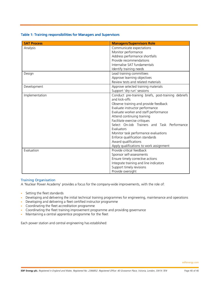# Table 1: Training responsibilities for Managers and Supervisors

| <b>SAT Process</b> | <b>Managers/Supervisors Role</b>                    |
|--------------------|-----------------------------------------------------|
| Analysis           | Communicate expectations                            |
|                    | Monitor performance                                 |
|                    | Address performance shortfalls                      |
|                    | Provide recommendations                             |
|                    | Internalise SAT fundamentals                        |
|                    | Identify training needs                             |
| Design             | Lead training committees                            |
|                    | Approve learning objectives                         |
|                    | Review tests and related materials                  |
| Development        | Approve selected training materials                 |
|                    | Support 'dry run' sessions                          |
| Implementation     | Conduct pre-training briefs, post-training debriefs |
|                    | and kick-offs                                       |
|                    | Observe training and provide feedback               |
|                    | Evaluate instructor performance                     |
|                    | Evaluate worker and staff performance               |
|                    | Attend continuing training                          |
|                    | Facilitate exercise critiques                       |
|                    | Select On-Job Trainers and Task Performance         |
|                    | Evaluators                                          |
|                    | Monitor task performance evaluations                |
|                    | Enforce qualification standards                     |
|                    | Award qualifications                                |
|                    | Apply qualifications to work assignment             |
| Evaluation         | Provide critical feedback                           |
|                    | Sponsor self-assessments                            |
|                    | Ensure timely corrective actions                    |
|                    | Integrate training and line indicators              |
|                    | Support timely revisions                            |
|                    | Provide oversight                                   |

# Training Organisation

A 'Nuclear Power Academy' provides a focus for the company-wide improvements, with the role of:

- Setting the fleet standards
- Developing and delivering the initial technical training programmes for engineering, maintenance and operations
- Developing and delivering a fleet certified instructor programme
- Coordinating the fleet accreditation programme
- Coordinating the fleet training improvement programme and providing governance
- Maintaining a central apprentice programme for the fleet

Each power station and central engineering has established: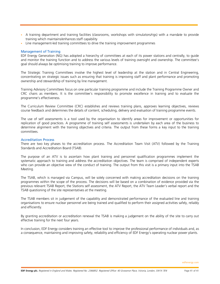- A training department and training facilities (classrooms, workshops with simulators/rigs) with a mandate to provide training which maintains/enhances staff capability
- Line management-led training committees to drive the training improvement programmes

## Management of Training

EDF Energy Generation (NG) has adopted a hierarchy of committees at each of its power stations and centrally, to guide and monitor the training function and to address the various levels of training oversight and ownership. The committee's goal should always be optimising training to improve performance.

The Strategic Training Committees involve the highest level of leadership at the station and in Central Engineering, concentrating on strategic issues such as ensuring that training is improving staff and plant performance and promoting ownership and stewardship of training by line management.

Training Advisory Committees focus on one particular training programme and include the Training Programme Owner and CRC chairs as members. It is the committee's responsibility to promote excellence in training and to evaluate the programme's effectiveness.

The Curriculum Review Committee (CRC) establishes and reviews training plans, approves learning objectives, reviews course feedback and determines the details of content, scheduling, delivery and evaluation of training programme events.

The use of self assessments is a tool used by the organisation to identify areas for improvement or opportunities for replication of good practices. A programme of training self assessments is undertaken by each area of the business to determine alignment with the training objectives and criteria. The output from these forms a key input to the training committees.

#### Accreditation Process

There are two key phases to the accreditation process. The Accreditation Team Visit (ATV) followed by the Training Standards and Accreditation Board (TSAB).

The purpose of an ATV is to ascertain how plant training and personnel qualification programmes implement the systematic approach to training and address the accreditation objectives. The team is comprised of independent experts who can provide an objective view of the conduct of training. The output from this visit is a primary input into the TSAB Meeting.

The TSAB, which is managed via Campus, will be solely concerned with making accreditation decisions on the training programmes within the scope of the process. The decisions will be based on a combination of evidence provided via the previous relevant TSAB Report, the Stations self assessment, the ATV Report, the ATV Team Leader's verbal report and the TSAB questioning of the site representatives at the meeting.

The TSAB members sit in judgement of the capability and demonstrated performance of the evaluated line and training organisations to ensure nuclear personnel are being trained and qualified to perform their assigned activities safely, reliably and efficiently.

By granting accreditation or accreditation renewal the TSAB is making a judgement on the ability of the site to carry out effective training for the next four years.

In conclusion, EDF Energy considers training an effective tool to improve the professional performance of individuals and, as a consequence, maintaining and improving safety, reliability and efficiency of EDF Energy's operating nuclear power plants.